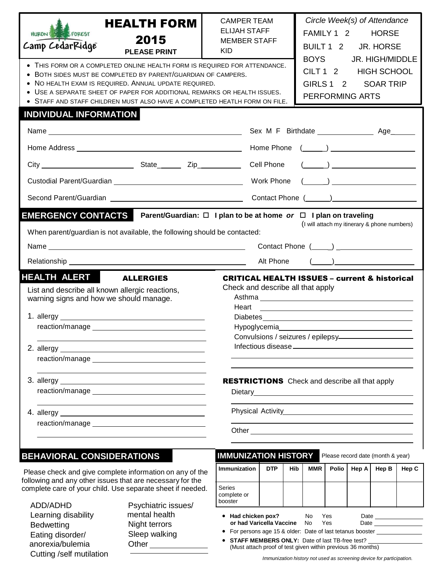| <b>HEALTH FORM</b><br>HURON FOREST<br>2015<br>Camp CedarRidge<br><b>PLEASE PRINT</b><br>• THIS FORM OR A COMPLETED ONLINE HEALTH FORM IS REQUIRED FOR ATTENDANCE.<br>BOTH SIDES MUST BE COMPLETED BY PARENT/GUARDIAN OF CAMPERS.<br>$\bullet$<br>NO HEALTH EXAM IS REQUIRED. ANNUAL UPDATE REQUIRED.<br>$\bullet$<br>USE A SEPARATE SHEET OF PAPER FOR ADDITIONAL REMARKS OR HEALTH ISSUES.                                                                                                                                                                                                                                                                                                                                                                    | Circle Week(s) of Attendance<br><b>CAMPER TEAM</b><br><b>ELIJAH STAFF</b><br>FAMILY 1 2 HORSE<br><b>MEMBER STAFF</b><br>BUILT 1 2 JR. HORSE<br>KID.<br><b>BOYS</b><br>JR. HIGH/MIDDLE<br>CILT 1 2 HIGH SCHOOL<br>GIRLS 1 2<br><b>SOAR TRIP</b><br><b>PERFORMING ARTS</b> |  |  |  |  |  |  |
|----------------------------------------------------------------------------------------------------------------------------------------------------------------------------------------------------------------------------------------------------------------------------------------------------------------------------------------------------------------------------------------------------------------------------------------------------------------------------------------------------------------------------------------------------------------------------------------------------------------------------------------------------------------------------------------------------------------------------------------------------------------|--------------------------------------------------------------------------------------------------------------------------------------------------------------------------------------------------------------------------------------------------------------------------|--|--|--|--|--|--|
| STAFF AND STAFF CHILDREN MUST ALSO HAVE A COMPLETED HEATLH FORM ON FILE.<br><b>INDIVIDUAL INFORMATION</b>                                                                                                                                                                                                                                                                                                                                                                                                                                                                                                                                                                                                                                                      |                                                                                                                                                                                                                                                                          |  |  |  |  |  |  |
|                                                                                                                                                                                                                                                                                                                                                                                                                                                                                                                                                                                                                                                                                                                                                                |                                                                                                                                                                                                                                                                          |  |  |  |  |  |  |
|                                                                                                                                                                                                                                                                                                                                                                                                                                                                                                                                                                                                                                                                                                                                                                |                                                                                                                                                                                                                                                                          |  |  |  |  |  |  |
|                                                                                                                                                                                                                                                                                                                                                                                                                                                                                                                                                                                                                                                                                                                                                                |                                                                                                                                                                                                                                                                          |  |  |  |  |  |  |
|                                                                                                                                                                                                                                                                                                                                                                                                                                                                                                                                                                                                                                                                                                                                                                |                                                                                                                                                                                                                                                                          |  |  |  |  |  |  |
|                                                                                                                                                                                                                                                                                                                                                                                                                                                                                                                                                                                                                                                                                                                                                                |                                                                                                                                                                                                                                                                          |  |  |  |  |  |  |
| When parent/guardian is not available, the following should be contacted:<br>Alt Phone<br>$\left(\begin{array}{c} \begin{array}{c} \begin{array}{c} \end{array}\\ \end{array}\right) \end{array}$<br><b>HEALTH ALERT ALLERGIES</b><br><b>CRITICAL HEALTH ISSUES - current &amp; historical</b><br>Check and describe all that apply<br>List and describe all known allergic reactions,<br>warning signs and how we should manage.<br>Heart<br><u> 1989 - Johann Harry Harry Harry Harry Harry Harry Harry Harry Harry Harry Harry Harry Harry Harry Harry Harry Harry Harry Harry Harry Harry Harry Harry Harry Harry Harry Harry Harry Harry Harry Harry Harry Harry Harry Ha</u><br>Diabetes <b>Diabetes</b><br>Convulsions / seizures / epilepsy___________ |                                                                                                                                                                                                                                                                          |  |  |  |  |  |  |
| <b>RESTRICTIONS</b> Check and describe all that apply<br>the control of the control of the control of the control of the control of the control of the control of the control of the control of the control of the control of the control of the control of the control of the control<br>Physical Activity Management Contains a material of the Management Contains a material of the Management Contains and District Contains a material of the Management Contains and District Contains a material of the Manageme                                                                                                                                                                                                                                       |                                                                                                                                                                                                                                                                          |  |  |  |  |  |  |
| <b>BEHAVIORAL CONSIDERATIONS</b>                                                                                                                                                                                                                                                                                                                                                                                                                                                                                                                                                                                                                                                                                                                               | <b>IMMUNIZATION HISTORY</b><br>Please record date (month & year)                                                                                                                                                                                                         |  |  |  |  |  |  |
| Please check and give complete information on any of the                                                                                                                                                                                                                                                                                                                                                                                                                                                                                                                                                                                                                                                                                                       | Immunization<br><b>DTP</b><br>Polio<br>Hep A<br>Hep B<br><b>Hib</b><br><b>MMR</b><br>Hep C                                                                                                                                                                               |  |  |  |  |  |  |
| following and any other issues that are necessary for the<br>complete care of your child. Use separate sheet if needed.                                                                                                                                                                                                                                                                                                                                                                                                                                                                                                                                                                                                                                        | Series<br>complete or                                                                                                                                                                                                                                                    |  |  |  |  |  |  |

ADD/ADHD Learning disability **Bedwetting** Eating disorder/ anorexia/bulemia Cutting /self mutilation

Psychiatric issues/ mental health Night terrors Sleep walking Other\_

## booster **Had chicken pox?** No Yes Date **or** had **Varicella Vaccine** For persons age 15 & older: Date of last tetanus booster

 **STAFF MEMBERS ONLY:** Date of last TB-free test? (Must attach proof of test given within previous 36 months)

*Immunization history not used as screening device for participation.*